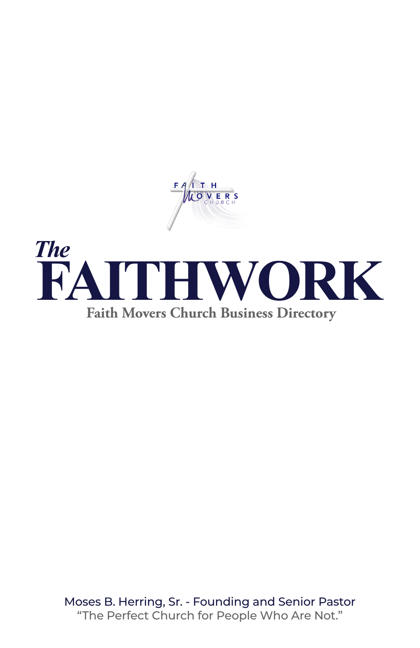



Moses B. Herring, Sr. - Founding and Senior Pastor "The Perfect Church for People Who Are Not."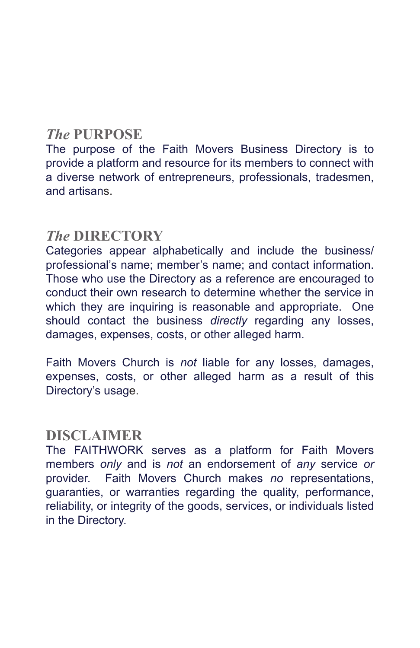# *The* **PURPOSE**

The purpose of the Faith Movers Business Directory is to provide a platform and resource for its members to connect with a diverse network of entrepreneurs, professionals, tradesmen, and artisans.

# *The* **DIRECTORY**

Categories appear alphabetically and include the business/ professional's name; member's name; and contact information. Those who use the Directory as a reference are encouraged to conduct their own research to determine whether the service in which they are inquiring is reasonable and appropriate. One should contact the business *directly* regarding any losses, damages, expenses, costs, or other alleged harm.

Faith Movers Church is *not* liable for any losses, damages, expenses, costs, or other alleged harm as a result of this Directory's usage.

# **DISCLAIMER**

The FAITHWORK serves as a platform for Faith Movers members *only* and is *not* an endorsement of *any* service *or* provider. Faith Movers Church makes *no* representations, guaranties, or warranties regarding the quality, performance, reliability, or integrity of the goods, services, or individuals listed in the Directory.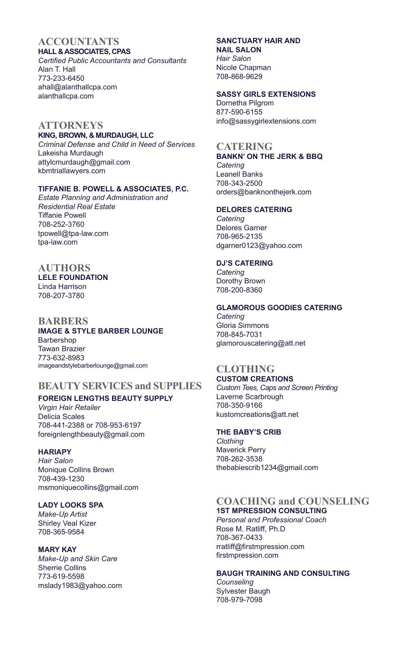#### **ACCOUNTANTS HALL & ASSOCIATES, CPAS**

*Certified Public Accountants and Consultants* Alan T. Hall 773-233-6450 ahall@alanthallcpa.com alanthallcpa.com

### **ATTORNEYS**

#### **KING, BROWN, & MURDAUGH, LLC**

*Criminal Defense and Child in Need of Services* Lakeisha Murdaugh attylcmurdaugh@gmail.com kbmtriallawyers.com

#### **TIFFANIE B. POWELL & ASSOCIATES, P.C.**

*Estate Planning and Administration and Residential Real Estate*  Tiffanie Powell 708-252-3760 tpowell@tpa-law.com tpa-law.com

## **AUTHORS**

### **LELE FOUNDATION** Linda Harrison

708-207-3780

### **BARBERS**

#### **IMAGE & STYLE BARBER LOUNGE** Barbershop Tawan Brazier

773-632-8983 imageandstylebarberlounge@gmail.com

## **BEAUTY SERVICES and SUPPLIES**

### **FOREIGN LENGTHS BEAUTY SUPPLY**

*Virgin Hair Retailer* Delicia Scales 708-441-2388 or 708-953-6197 foreignlengthbeauty@gmail.com

### **HARIAPY**

*Hair Salon* Monique Collins Brown 708-439-1230 msmoniquecollins@gmail.com

### **LADY LOOKS SPA**

*Make-Up Artist* Shirley Veal Kizer 708-365-9584

### **MARY KAY**

*Make-Up and Skin Care* Sherrie Collins 773-619-5598 mslady1983@yahoo.com

#### **SANCTUARY HAIR AND NAIL SALON**

*Hair Salon* Nicole Chapman 708-868-9629

### **SASSY GIRLS EXTENSIONS**

Dornetha Pilgrom 877-590-6155 info@sassygirlextensions.com

### **CATERING**

**BANKN' ON THE JERK & BBQ** *Catering*

Leanell Banks 708-343-2500 orders@banknonthejerk.com

#### **DELORES CATERING**

*Catering*  Delores Garner 708-965-2135 dgarner0123@yahoo.com

### **DJ'S CATERING**

*Catering* Dorothy Brown 708-200-8360

### **GLAMOROUS GOODIES CATERING**

*Catering*  Gloria Simmons 708-845-7031 glamorouscatering@att.net

#### **CLOTHING CUSTOM CREATIONS**

*Custom Tees, Caps and Screen Printing* Laverne Scarbrough 708-350-9166 kustomcreations@att.net

### **THE BABY'S CRIB**

*Clothing* Maverick Perry 708-262-3538 thebabiescrib1234@gmail.com

### **COACHING and COUNSELING**

**1ST MPRESSION CONSULTING** *Personal and Professional Coach* Rose M. Ratliff, Ph.D 708-367-0433 rratliff@firstmpression.com firstmpression.com

#### **BAUGH TRAINING AND CONSULTING** *Counseling*

Sylvester Baugh 708-979-7098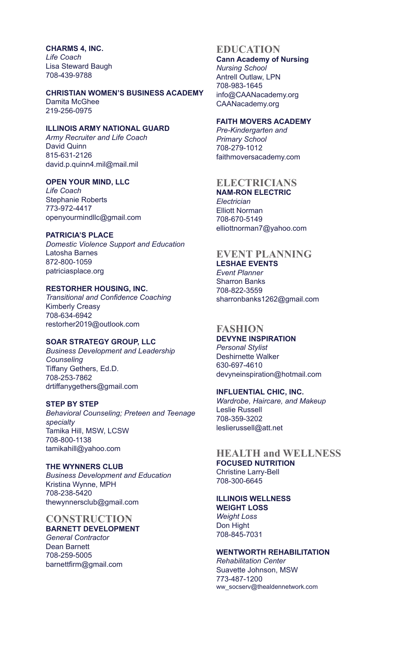**CHARMS 4, INC.** *Life Coach* Lisa Steward Baugh 708-439-9788

#### **CHRISTIAN WOMEN'S BUSINESS ACADEMY**

Damita McGhee 219-256-0975

### **ILLINOIS ARMY NATIONAL GUARD**

*Army Recruiter and Life Coach* David Quinn 815-631-2126 david.p.quinn4.mil@mail.mil

#### **OPEN YOUR MIND, LLC**

*Life Coach* Stephanie Roberts 773-972-4417 openyourmindllc@gmail.com

#### **PATRICIA'S PLACE**

*Domestic Violence Support and Education* Latosha Barnes 872-800-1059 patriciasplace.org

#### **RESTORHER HOUSING, INC.**

*Transitional and Confidence Coaching* Kimberly Creasy 708-634-6942 restorher2019@outlook.com

#### **SOAR STRATEGY GROUP, LLC**

*Business Development and Leadership Counseling* Tiffany Gethers, Ed.D. 708-253-7862 drtiffanygethers@gmail.com

#### **STEP BY STEP**

*Behavioral Counseling; Preteen and Teenage specialty* Tamika Hill, MSW, LCSW 708-800-1138 tamikahill@yahoo.com

**THE WYNNERS CLUB** *Business Development and Education* Kristina Wynne, MPH 708-238-5420 thewynnersclub@gmail.com

#### **CONSTRUCTION BARNETT DEVELOPMENT** *General Contractor*

Dean Barnett 708-259-5005 barnettfirm@gmail.com

### **EDUCATION**

**Cann Academy of Nursing** *Nursing School* Antrell Outlaw, LPN 708-983-1645 info@CAANacademy.org CAANacademy.org

#### **FAITH MOVERS ACADEMY**

*Pre-Kindergarten and Primary School* 708-279-1012 faithmoversacademy.com

### **ELECTRICIANS**

**NAM-RON ELECTRIC** *Electrician* Elliott Norman 708-670-5149 elliottnorman7@yahoo.com

#### **EVENT PLANNING LESHAE EVENTS**

*Event Planner* Sharron Banks 708-822-3559 sharronbanks1262@gmail.com

### **FASHION**

**DEVYNE INSPIRATION** *Personal Stylist* Deshirnette Walker 630-697-4610 devyneinspiration@hotmail.com

### **INFLUENTIAL CHIC, INC.**

*Wardrobe, Haircare, and Makeup* Leslie Russell 708-359-3202 leslierussell@att.net

### **HEALTH and WELLNESS FOCUSED NUTRITION** Christine Larry-Bell

708-300-6645

#### **ILLINOIS WELLNESS WEIGHT LOSS** *Weight Loss* Don Hight 708-845-7031

**WENTWORTH REHABILITATION** *Rehabilitation Center* Suavette Johnson, MSW 773-487-1200 ww\_socserv@thealdennetwork.com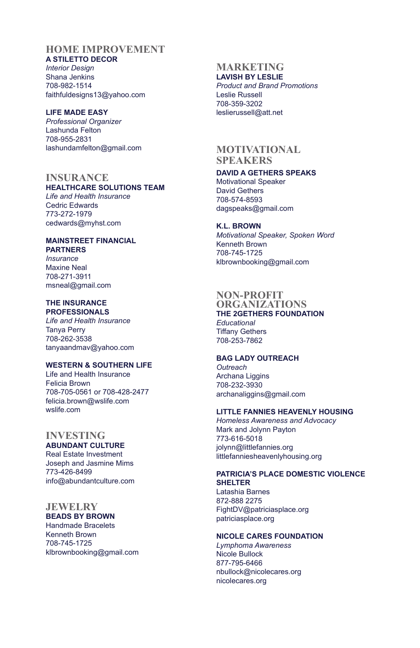### **HOME IMPROVEMENT**

**A STILETTO DECOR** *Interior Design* Shana Jenkins 708-982-1514 faithfuldesigns13@yahoo.com

### **LIFE MADE EASY**

*Professional Organizer* Lashunda Felton 708-955-2831 lashundamfelton@gmail.com

### **INSURANCE**

### **HEALTHCARE SOLUTIONS TEAM**

*Life and Health Insurance* Cedric Edwards 773-272-1979 cedwards@myhst.com

#### **MAINSTREET FINANCIAL PARTNERS**

*Insurance* Maxine Neal 708-271-3911 msneal@gmail.com

#### **THE INSURANCE PROFESSIONALS**

*Life and Health Insurance* Tanya Perry 708-262-3538 tanyaandmav@yahoo.com

### **WESTERN & SOUTHERN LIFE**

Life and Health Insurance Felicia Brown 708-705-0561 or 708-428-2477 felicia.brown@wslife.com wslife.com

### **INVESTING**

### **ABUNDANT CULTURE** Real Estate Investment Joseph and Jasmine Mims 773-426-8499

info@abundantculture.com

### **JEWELRY**

**BEADS BY BROWN** Handmade Bracelets Kenneth Brown 708-745-1725 klbrownbooking@gmail.com

#### **MARKETING LAVISH BY LESLIE**

*Product and Brand Promotions* Leslie Russell 708-359-3202 leslierussell@att.net

### **MOTIVATIONAL SPEAKERS**

#### **DAVID A GETHERS SPEAKS** Motivational Speaker David Gethers 708-574-8593 dagspeaks@gmail.com

**K.L. BROWN** *Motivational Speaker, Spoken Word* Kenneth Brown 708-745-1725 klbrownbooking@gmail.com

#### **NON-PROFIT ORGANIZATIONS**

### **THE 2GETHERS FOUNDATION** *Educational* Tiffany Gethers 708-253-7862

### **BAG LADY OUTREACH**

*Outreach* Archana Liggins 708-232-3930 archanaliggins@gmail.com

### **LITTLE FANNIES HEAVENLY HOUSING**

*Homeless Awareness and Advocacy* Mark and Jolynn Payton 773-616-5018 jolynn@littlefannies.org littlefanniesheavenlyhousing.org

### **PATRICIA'S PLACE DOMESTIC VIOLENCE SHELTER**

Latashia Barnes 872-888 2275 FightDV@patriciasplace.org patriciasplace.org

### **NICOLE CARES FOUNDATION**

*Lymphoma Awareness* Nicole Bullock 877-795-6466 nbullock@nicolecares.org nicolecares.org